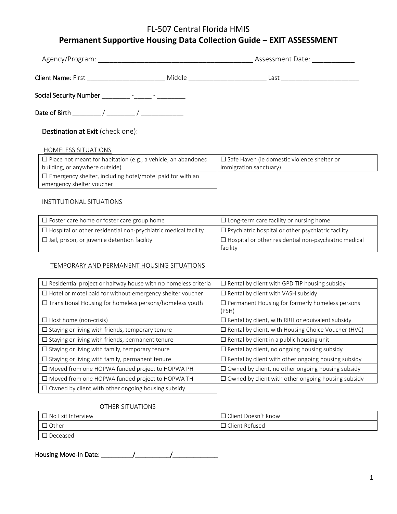# FL-507 Central Florida HMIS

# **Permanent Supportive Housing Data Collection Guide – EXIT ASSESSMENT**

| Agency/Program:               | Assessment Date:              |      |  |
|-------------------------------|-------------------------------|------|--|
| <b>Client Name: First</b>     | Middle                        | _ast |  |
| <b>Social Security Number</b> | $\overline{\phantom{0}}$<br>- |      |  |

Date of Birth \_\_\_\_\_\_\_\_ / \_\_\_\_\_\_\_\_ / \_\_\_\_\_\_\_\_\_\_\_\_

Destination at Exit (check one):

HOMELESS SITUATIONS

| $\Box$ Place not meant for habitation (e.g., a vehicle, an abandoned | $\Box$ Safe Haven (ie domestic violence shelter or |
|----------------------------------------------------------------------|----------------------------------------------------|
| building, or anywhere outside)                                       | immigration sanctuary)                             |
| $\Box$ Emergency shelter, including hotel/motel paid for with an     |                                                    |
| emergency shelter voucher                                            |                                                    |

### INSTITUTIONAL SITUATIONS

| $\Box$ Foster care home or foster care group home                     | $\Box$ Long-term care facility or nursing home                           |  |
|-----------------------------------------------------------------------|--------------------------------------------------------------------------|--|
| $\Box$ Hospital or other residential non-psychiatric medical facility | $\Box$ Psychiatric hospital or other psychiatric facility                |  |
| $\Box$ Jail, prison, or juvenile detention facility                   | $\Box$ Hospital or other residential non-psychiatric medical<br>facility |  |

### TEMPORARY AND PERMANENT HOUSING SITUATIONS

| $\Box$ Residential project or halfway house with no homeless criteria | $\Box$ Rental by client with GPD TIP housing subsidy            |
|-----------------------------------------------------------------------|-----------------------------------------------------------------|
| $\Box$ Hotel or motel paid for without emergency shelter voucher      | $\Box$ Rental by client with VASH subsidy                       |
| $\Box$ Transitional Housing for homeless persons/homeless youth       | $\Box$ Permanent Housing for formerly homeless persons<br>(PSH) |
| $\Box$ Host home (non-crisis)                                         | $\Box$ Rental by client, with RRH or equivalent subsidy         |
| $\Box$ Staying or living with friends, temporary tenure               | □ Rental by client, with Housing Choice Voucher (HVC)           |
| $\square$ Staying or living with friends, permanent tenure            | $\Box$ Rental by client in a public housing unit                |
| $\Box$ Staying or living with family, temporary tenure                | $\Box$ Rental by client, no ongoing housing subsidy             |
| $\Box$ Staying or living with family, permanent tenure                | $\Box$ Rental by client with other ongoing housing subsidy      |
| □ Moved from one HOPWA funded project to HOPWA PH                     | $\Box$ Owned by client, no other ongoing housing subsidy        |
| □ Moved from one HOPWA funded project to HOPWA TH                     | $\Box$ Owned by client with other ongoing housing subsidy       |
| $\Box$ Owned by client with other ongoing housing subsidy             |                                                                 |

### OTHER SITUATIONS

| $\Box$ No Exit Interview | □ Client Doesn't Know |
|--------------------------|-----------------------|
| Other                    | $\Box$ Client Refused |
| Deceased                 |                       |

Housing Move-In Date: \_\_\_\_\_\_\_\_\_/\_\_\_\_\_\_\_\_\_\_/\_\_\_\_\_\_\_\_\_\_\_\_\_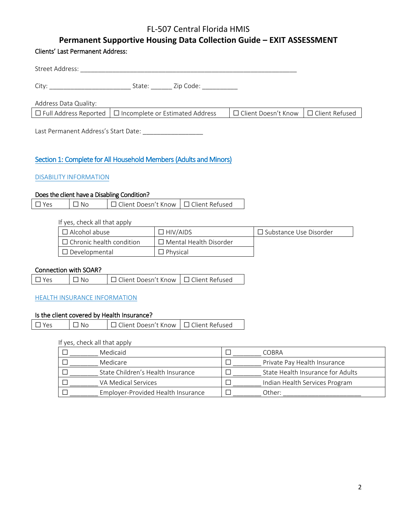# FL-507 Central Florida HMIS

# **Permanent Supportive Housing Data Collection Guide – EXIT ASSESSMENT**

### Clients' Last Permanent Address:

| Street Address:       |                                                                     |                                                  |  |
|-----------------------|---------------------------------------------------------------------|--------------------------------------------------|--|
| City:                 | Zip Code:<br>State:                                                 |                                                  |  |
| Address Data Quality: |                                                                     |                                                  |  |
|                       | $\Box$ Full Address Reported $\Box$ Incomplete or Estimated Address | $\Box$ Client Doesn't Know $\Box$ Client Refused |  |
|                       |                                                                     |                                                  |  |

Last Permanent Address's Start Date: \_\_\_\_\_\_\_\_\_\_\_\_\_\_\_\_\_

# Section 1: Complete for All Household Members (Adults and Minors)

### DISABILITY INFORMATION

### Does the client have a Disabling Condition?

|  | $\Box$ Yes | $\overline{\phantom{a}}$ $\overline{\phantom{a}}$ $\overline{\phantom{a}}$ $\overline{\phantom{a}}$ | □ Client Doesn't Know I □ Client Refused |  |
|--|------------|-----------------------------------------------------------------------------------------------------|------------------------------------------|--|
|--|------------|-----------------------------------------------------------------------------------------------------|------------------------------------------|--|

If yes, check all that apply

| $\Box$ Alcohol abuse            | $\Box$ HIV/AIDS               | $\Box$ Substance Use Disorder |
|---------------------------------|-------------------------------|-------------------------------|
| $\Box$ Chronic health condition | $\Box$ Mental Health Disorder |                               |
| $\Box$ Developmental            | $\Box$ Physical               |                               |

### Connection with SOAR?

| $\Box$ Yes | $\Box$ No | □ Client Doesn't Know   □ Client Refused |  |
|------------|-----------|------------------------------------------|--|
|------------|-----------|------------------------------------------|--|

#### HEALTH INSURANCE INFORMATION

### Is the client covered by Health Insurance?

| $\Box$ Yes | $\Box$ No | │ □ Client Doesn't Know │ □ Client Refused |  |
|------------|-----------|--------------------------------------------|--|
|            |           |                                            |  |

### If yes, check all that apply

| Medicaid                           | COBRA                             |
|------------------------------------|-----------------------------------|
| Medicare                           | Private Pay Health Insurance      |
| State Children's Health Insurance  | State Health Insurance for Adults |
| VA Medical Services                | Indian Health Services Program    |
| Employer-Provided Health Insurance | Other:                            |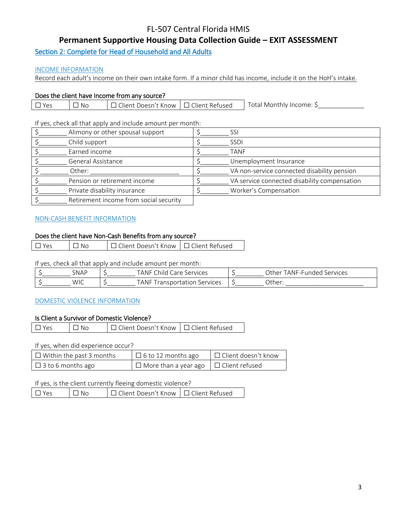# FL-507 Central Florida HMIS

# **Permanent Supportive Housing Data Collection Guide – EXIT ASSESSMENT**

Section 2: Complete for Head of Household and All Adults

### INCOME INFORMATION

Record each adult's income on their own intake form. If a minor child has income, include it on the HoH's intake.

### Does the client have Income from any source?

| $\nabla \mathsf{Y}_{\mathsf{P}}$ | N <sub>C</sub> | │ □ Client Doesn't Know │ □ Client Refused | Total Monthly Income: S |
|----------------------------------|----------------|--------------------------------------------|-------------------------|
|                                  |                |                                            |                         |

If yes, check all that apply and include amount per month:

| Alimony or other spousal support       | SSI                                          |
|----------------------------------------|----------------------------------------------|
| Child support                          | <b>SSDI</b>                                  |
| Earned income                          | TANF                                         |
| General Assistance                     | Unemployment Insurance                       |
| Other:                                 | VA non-service connected disability pension  |
| Pension or retirement income           | VA service connected disability compensation |
| Private disability insurance           | Worker's Compensation                        |
| Retirement income from social security |                                              |

### NON-CASH BENEFIT INFORMATION

### Does the client have Non-Cash Benefits from any source?

| $\square$ Yes | $\Box$ No | □ Client Doesn't Know   □ Client Refused |  |
|---------------|-----------|------------------------------------------|--|
|---------------|-----------|------------------------------------------|--|

If yes, check all that apply and include amount per month:

| <b>SNAP</b> | TANF Child<br>Services<br>Care         | TANF-Fundeu<br>่วther<br>Services |
|-------------|----------------------------------------|-----------------------------------|
| WIC         | TANF.<br>Services<br>`sno∟<br>ertation | :)ther                            |

#### DOMESTIC VIOLENCE INFORMATION

#### Is Client a Survivor of Domestic Violence?

| $\Box$ Yes | $\Box$ No | □ Client Doesn't Know   □ Client Refused |  |
|------------|-----------|------------------------------------------|--|
|            |           |                                          |  |

If yes, when did experience occur?

| $\Box$ Within the past 3 months | $\Box$ 6 to 12 months ago                         | □ Client doesn't know |
|---------------------------------|---------------------------------------------------|-----------------------|
| $\Box$ 3 to 6 months ago        | $\Box$ More than a year ago $\Box$ Client refused |                       |

If yes, is the client currently fleeing domestic violence?

| $\Box$ Yes | 1 No | □ Client Doesn't Know   □ Client Refused |  |
|------------|------|------------------------------------------|--|
|------------|------|------------------------------------------|--|